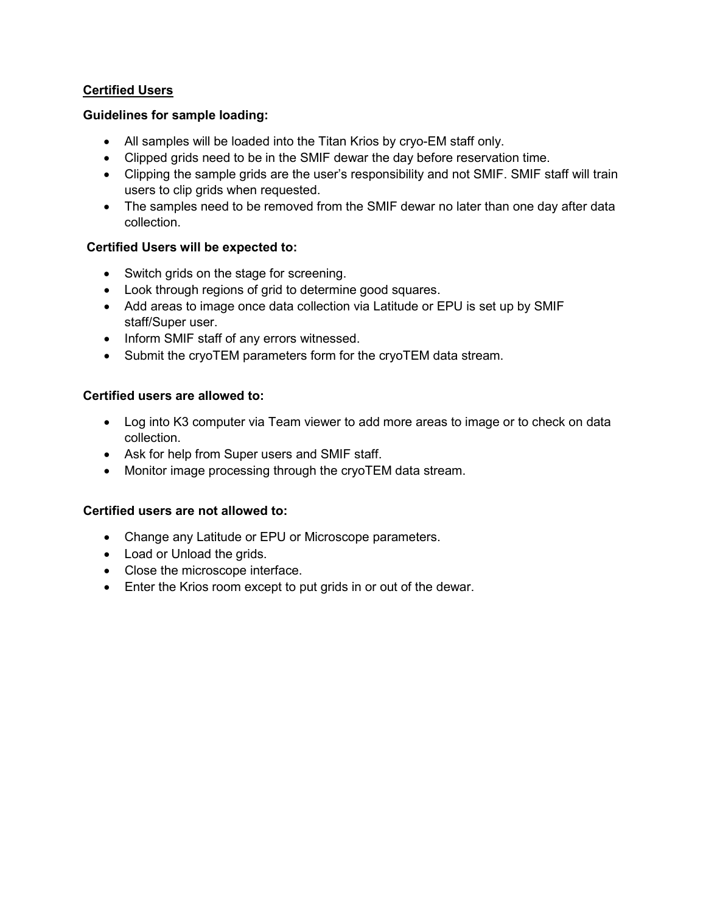# **Certified Users**

### **Guidelines for sample loading:**

- All samples will be loaded into the Titan Krios by cryo-EM staff only.
- Clipped grids need to be in the SMIF dewar the day before reservation time.
- Clipping the sample grids are the user's responsibility and not SMIF. SMIF staff will train users to clip grids when requested.
- The samples need to be removed from the SMIF dewar no later than one day after data collection.

## **Certified Users will be expected to:**

- Switch grids on the stage for screening.
- Look through regions of grid to determine good squares.
- Add areas to image once data collection via Latitude or EPU is set up by SMIF staff/Super user.
- Inform SMIF staff of any errors witnessed.
- Submit the cryoTEM parameters form for the cryoTEM data stream.

### **Certified users are allowed to:**

- Log into K3 computer via Team viewer to add more areas to image or to check on data collection.
- Ask for help from Super users and SMIF staff.
- Monitor image processing through the cryoTEM data stream.

### **Certified users are not allowed to:**

- Change any Latitude or EPU or Microscope parameters.
- Load or Unload the grids.
- Close the microscope interface.
- Enter the Krios room except to put grids in or out of the dewar.